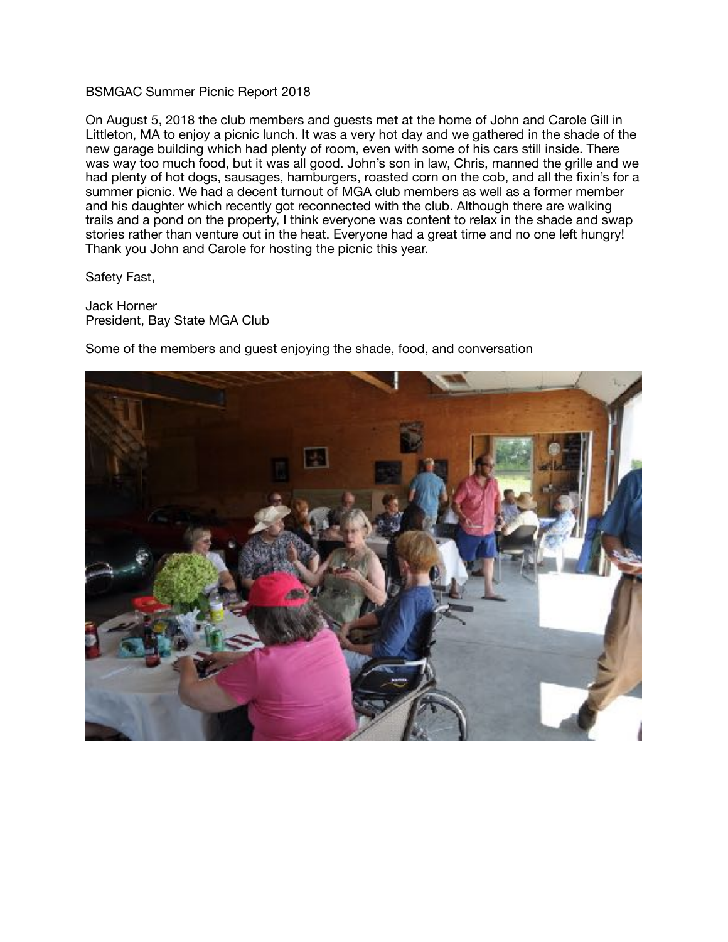## BSMGAC Summer Picnic Report 2018

On August 5, 2018 the club members and guests met at the home of John and Carole Gill in Littleton, MA to enjoy a picnic lunch. It was a very hot day and we gathered in the shade of the new garage building which had plenty of room, even with some of his cars still inside. There was way too much food, but it was all good. John's son in law, Chris, manned the grille and we had plenty of hot dogs, sausages, hamburgers, roasted corn on the cob, and all the fixin's for a summer picnic. We had a decent turnout of MGA club members as well as a former member and his daughter which recently got reconnected with the club. Although there are walking trails and a pond on the property, I think everyone was content to relax in the shade and swap stories rather than venture out in the heat. Everyone had a great time and no one left hungry! Thank you John and Carole for hosting the picnic this year.

Safety Fast,

Jack Horner President, Bay State MGA Club

Some of the members and guest enjoying the shade, food, and conversation